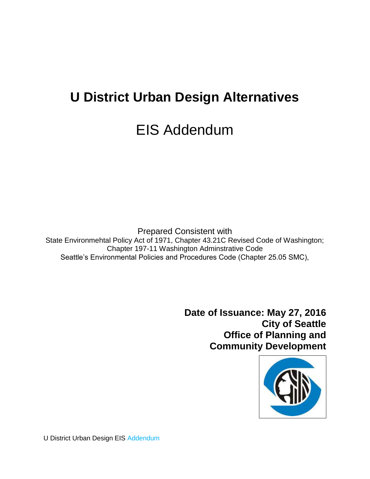# **U District Urban Design Alternatives**

# EIS Addendum

Prepared Consistent with State Environmehtal Policy Act of 1971, Chapter 43.21C Revised Code of Washington; Chapter 197-11 Washington Adminstrative Code Seattle's Environmental Policies and Procedures Code (Chapter 25.05 SMC),

> **Date of Issuance: May 27, 2016 City of Seattle Office of Planning and Community Development**



U District Urban Design EIS Addendum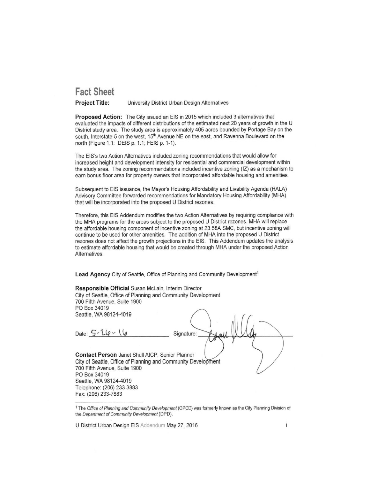## <span id="page-1-0"></span>**Fact Sheet**

**Project Title:** University District Urban Design Alternatives

Proposed Action: The City issued an EIS in 2015 which included 3 alternatives that evaluated the impacts of different distributions of the estimated next 20 years of growth in the U District study area. The study area is approximately 405 acres bounded by Portage Bay on the south, Interstate-5 on the west, 15<sup>th</sup> Avenue NE on the east, and Ravenna Boulevard on the north (Figure 1.1: DEIS p. 1.1; FEIS p. 1-1).

The EIS's two Action Alternatives included zoning recommendations that would allow for increased height and development intensity for residential and commercial development within the study area. The zoning recommendations included incentive zoning (IZ) as a mechanism to earn bonus floor area for property owners that incorporated affordable housing and amenities.

Subsequent to EIS issuance, the Mayor's Housing Affordability and Livability Agenda (HALA) Advisory Committee forwarded recommendations for Mandatory Housing Affordability (MHA) that will be incorporated into the proposed U District rezones.

Therefore, this EIS Addendum modifies the two Action Alternatives by requiring compliance with the MHA programs for the areas subject to the proposed U District rezones. MHA will replace the affordable housing component of incentive zoning at 23.58A SMC, but incentive zoning will continue to be used for other amenities. The addition of MHA into the proposed U District rezones does not affect the growth projections in the EIS. This Addendum updates the analysis to estimate affordable housing that would be created through MHA under the proposed Action Alternatives.

Lead Agency City of Seattle, Office of Planning and Community Development<sup>1</sup>

| Responsible Official Susan McLain, Interim Director           |
|---------------------------------------------------------------|
| City of Seattle, Office of Planning and Community Development |
| 700 Fifth Avenue, Suite 1900                                  |
| PO Box 34019                                                  |
| Seattle, WA 98124-4019                                        |
|                                                               |
|                                                               |
| Date: $5 - 26 - 16$<br>Signature:                             |
|                                                               |
|                                                               |
| Contact Person Janet Shull AICP, Senior Planner               |
| City of Seattle, Office of Planning and Community Development |
| 700 Fifth Avenue, Suite 1900                                  |
| PO Box 34019                                                  |
| Seattle, WA 98124-4019                                        |
| Telephone: (206) 233-3883                                     |
| Fax: (206) 233-7883                                           |

<sup>1</sup> The Office of Planning and Community Development (OPCD) was formerly known as the City Planning Division of the Department of Community Development (DPD).

U District Urban Design EIS Addendum May 27, 2016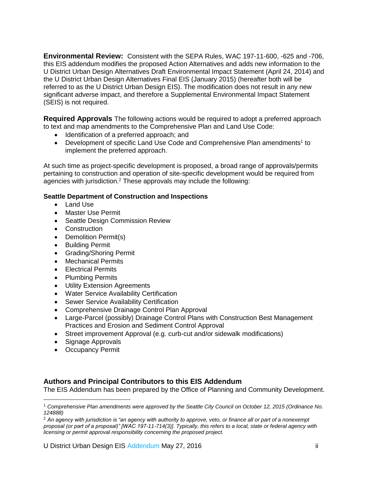**Environmental Review:** Consistent with the SEPA Rules, WAC 197-11-600, -625 and -706, this EIS addendum modifies the proposed Action Alternatives and adds new information to the U District Urban Design Alternatives Draft Environmental Impact Statement (April 24, 2014) and the U District Urban Design Alternatives Final EIS (January 2015) (hereafter both will be referred to as the U District Urban Design EIS). The modification does not result in any new significant adverse impact, and therefore a Supplemental Environmental Impact Statement (SEIS) is not required.

**Required Approvals** The following actions would be required to adopt a preferred approach to text and map amendments to the Comprehensive Plan and Land Use Code:

- Identification of a preferred approach; and
- Development of specific Land Use Code and Comprehensive Plan amendments<sup>1</sup> to implement the preferred approach.

At such time as project-specific development is proposed, a broad range of approvals/permits pertaining to construction and operation of site-specific development would be required from agencies with jurisdiction.<sup>2</sup> These approvals may include the following:

#### **Seattle Department of Construction and Inspections**

- Land Use
- Master Use Permit
- Seattle Design Commission Review
- Construction
- Demolition Permit(s)
- **•** Building Permit
- Grading/Shoring Permit
- Mechanical Permits
- Electrical Permits
- Plumbing Permits
- Utility Extension Agreements
- Water Service Availability Certification
- Sewer Service Availability Certification
- Comprehensive Drainage Control Plan Approval
- Large-Parcel (possibly) Drainage Control Plans with Construction Best Management Practices and Erosion and Sediment Control Approval
- Street improvement Approval (e.g. curb-cut and/or sidewalk modifications)
- Signage Approvals
- Occupancy Permit

 $\overline{a}$ 

### **Authors and Principal Contributors to this EIS Addendum**

The EIS Addendum has been prepared by the Office of Planning and Community Development.

<sup>1</sup> *Comprehensive Plan amendments were approved by the Seattle City Council on October 12, 2015 (Ordinance No. 124888)*

<sup>2</sup> *An agency with jurisdiction is "an agency with authority to approve, veto, or finance all or part of a nonexempt proposal (or part of a proposal)" [WAC 197-11-714(3)]. Typically, this refers to a local, state or federal agency with licensing or permit approval responsibility concerning the proposed project.*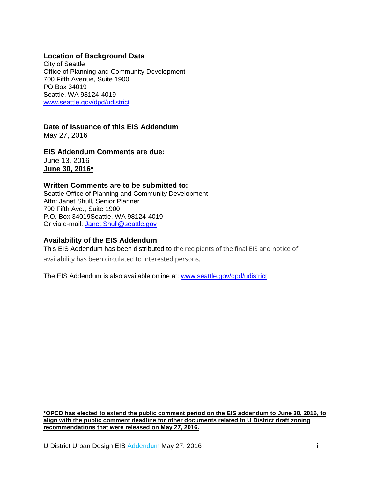#### **Location of Background Data**

City of Seattle Office of Planning and Community Development 700 Fifth Avenue, Suite 1900 PO Box 34019 Seattle, WA 98124-4019 [www.seattle.gov/dpd/udistrict](http://www.seattle.gov/dpd/udistrict)

**Date of Issuance of this EIS Addendum** 

May 27, 2016

**EIS Addendum Comments are due:** June 13, 2016 **June 30, 2016\***

#### **Written Comments are to be submitted to:**

Seattle Office of Planning and Community Development Attn: Janet Shull, Senior Planner 700 Fifth Ave., Suite 1900 P.O. Box 34019Seattle, WA 98124-4019 Or via e-mail: [Janet.Shull@seattle.gov](mailto:Janet.Shull@seattle.gov)

#### **Availability of the EIS Addendum**

This EIS Addendum has been distributed to the recipients of the final EIS and notice of availability has been circulated to interested persons.

The EIS Addendum is also available online at: [www.seattle.gov/dpd/udistrict](http://www.seattle.gov/dpd/udistrict)

**\*OPCD has elected to extend the public comment period on the EIS addendum to June 30, 2016, to align with the public comment deadline for other documents related to U District draft zoning recommendations that were released on May 27, 2016.**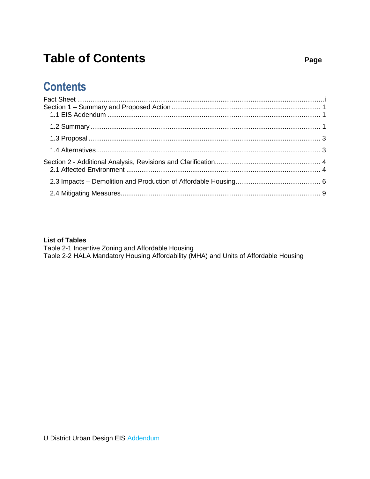# **Table of Contents**

# **Contents**

#### **List of Tables**

Table 2-1 Incentive Zoning and Affordable Housing Table 2-2 HALA Mandatory Housing Affordability (MHA) and Units of Affordable Housing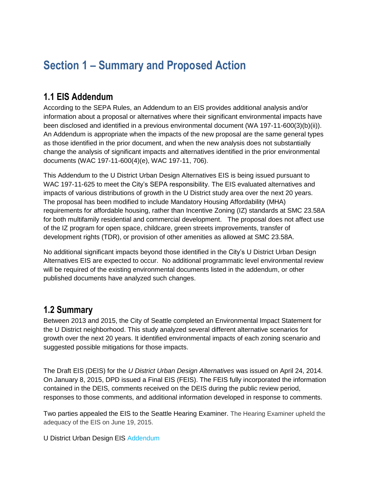# <span id="page-5-0"></span>**Section 1 – Summary and Proposed Action**

# <span id="page-5-1"></span>**1.1 EIS Addendum**

According to the SEPA Rules, an Addendum to an EIS provides additional analysis and/or information about a proposal or alternatives where their significant environmental impacts have been disclosed and identified in a previous environmental document (WA 197-11-600(3)(b)(ii)). An Addendum is appropriate when the impacts of the new proposal are the same general types as those identified in the prior document, and when the new analysis does not substantially change the analysis of significant impacts and alternatives identified in the prior environmental documents (WAC 197-11-600(4)(e), WAC 197-11, 706).

This Addendum to the U District Urban Design Alternatives EIS is being issued pursuant to WAC 197-11-625 to meet the City's SEPA responsibility. The EIS evaluated alternatives and impacts of various distributions of growth in the U District study area over the next 20 years. The proposal has been modified to include Mandatory Housing Affordability (MHA) requirements for affordable housing, rather than Incentive Zoning (IZ) standards at SMC 23.58A for both multifamily residential and commercial development. The proposal does not affect use of the IZ program for open space, childcare, green streets improvements, transfer of development rights (TDR), or provision of other amenities as allowed at SMC 23.58A.

No additional significant impacts beyond those identified in the City's U District Urban Design Alternatives EIS are expected to occur. No additional programmatic level environmental review will be required of the existing environmental documents listed in the addendum, or other published documents have analyzed such changes.

### <span id="page-5-2"></span>**1.2 Summary**

Between 2013 and 2015, the City of Seattle completed an Environmental Impact Statement for the U District neighborhood. This study analyzed several different alternative scenarios for growth over the next 20 years. It identified environmental impacts of each zoning scenario and suggested possible mitigations for those impacts.

The Draft EIS (DEIS) for the *U District Urban Design Alternatives* was issued on April 24, 2014. On January 8, 2015, DPD issued a Final EIS (FEIS). The FEIS fully incorporated the information contained in the DEIS, comments received on the DEIS during the public review period, responses to those comments, and additional information developed in response to comments.

Two parties appealed the EIS to the Seattle Hearing Examiner. The Hearing Examiner upheld the adequacy of the EIS on June 19, 2015.

U District Urban Design EIS Addendum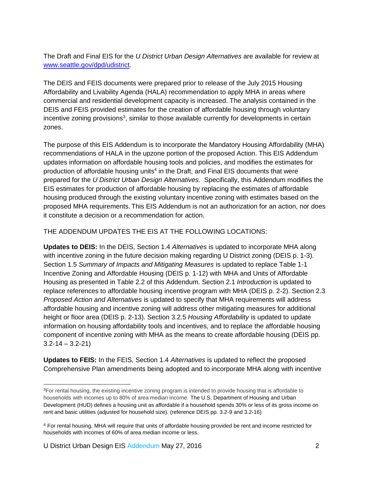The Draft and Final EIS for the *U District Urban Design Alternatives* are available for review at [www.seattle.gov/dpd/udistrict.](http://www.seattle.gov/dpd/udistrict)

The DEIS and FEIS documents were prepared prior to release of the July 2015 Housing Affordability and Livability Agenda (HALA) recommendation to apply MHA in areas where commercial and residential development capacity is increased. The analysis contained in the DEIS and FEIS provided estimates for the creation of affordable housing through voluntary incentive zoning provisions<sup>3</sup>, similar to those available currently for developments in certain zones.

The purpose of this EIS Addendum is to incorporate the Mandatory Housing Affordability (MHA) recommendations of HALA in the upzone portion of the proposed Action. This EIS Addendum updates information on affordable housing tools and policies, and modifies the estimates for production of affordable housing units<sup>4</sup> in the Draft, and Final EIS documents that were prepared for the *U District Urban Design Alternatives.* Specifically, this Addendum modifies the EIS estimates for production of affordable housing by replacing the estimates of affordable housing produced through the existing voluntary incentive zoning with estimates based on the proposed MHA requirements. This EIS Addendum is not an authorization for an action, nor does it constitute a decision or a recommendation for action.

THE ADDENDUM UPDATES THE EIS AT THE FOLLOWING LOCATIONS:

**Updates to DEIS:** In the DEIS, Section 1.4 *Alternatives* is updated to incorporate MHA along with incentive zoning in the future decision making regarding U District zoning (DEIS p. 1-3). Section 1.5 *Summary of Impacts and Mitigating Measures* is updated to replace Table 1-1 Incentive Zoning and Affordable Housing (DEIS p. 1-12) with MHA and Units of Affordable Housing as presented in Table 2.2 of this Addendum. Section 2.1 *Introduction* is updated to replace references to affordable housing incentive program with MHA (DEIS p. 2-2). Section 2.3 *Proposed Action and Alternatives* is updated to specify that MHA requirements will address affordable housing and incentive zoning will address other mitigating measures for additional height or floor area (DEIS p. 2-13). Section 3.2.5 *Housing Affordability* is updated to update information on housing affordability tools and incentives, and to replace the affordable housing component of incentive zoning with MHA as the means to create affordable housing (DEIS pp.  $3.2 - 14 - 3.2 - 21$ 

**Updates to FEIS:** In the FEIS, Section 1.4 *Alternatives* is updated to reflect the proposed Comprehensive Plan amendments being adopted and to incorporate MHA along with incentive

 $\overline{a}$ <sup>3</sup>For rental housing, the existing incentive zoning program is intended to provide housing that is affordable to households with incomes up to 80% of area median income. The U.S. Department of Housing and Urban Development (HUD) defines a housing unit as affordable if a household spends 30% or less of its gross income on rent and basic utilities (adjusted for household size). (reference DEIS pp. 3.2-9 and 3.2-16)

<sup>4</sup> For rental housing, MHA will require that units of affordable housing provided be rent and income restricted for households with incomes of 60% of area median income or less.

U District Urban Design EIS Addendum May 27, 2016 **2** 2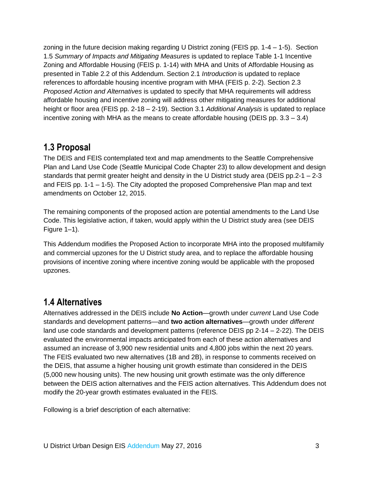zoning in the future decision making regarding U District zoning (FEIS pp. 1-4 – 1-5). Section 1.5 *Summary of Impacts and Mitigating Measures* is updated to replace Table 1-1 Incentive Zoning and Affordable Housing (FEIS p. 1-14) with MHA and Units of Affordable Housing as presented in Table 2.2 of this Addendum. Section 2.1 *Introduction* is updated to replace references to affordable housing incentive program with MHA (FEIS p. 2-2). Section 2.3 *Proposed Action and Alternatives* is updated to specify that MHA requirements will address affordable housing and incentive zoning will address other mitigating measures for additional height or floor area (FEIS pp. 2-18 – 2-19). Section 3.1 *Additional Analysis* is updated to replace incentive zoning with MHA as the means to create affordable housing (DEIS pp.  $3.3 - 3.4$ )

## <span id="page-7-0"></span>**1.3 Proposal**

The DEIS and FEIS contemplated text and map amendments to the Seattle Comprehensive Plan and Land Use Code (Seattle Municipal Code Chapter 23) to allow development and design standards that permit greater height and density in the U District study area (DEIS pp.2-1 – 2-3 and FEIS pp. 1-1 – 1-5). The City adopted the proposed Comprehensive Plan map and text amendments on October 12, 2015.

The remaining components of the proposed action are potential amendments to the Land Use Code. This legislative action, if taken, would apply within the U District study area (see DEIS Figure 1–1).

This Addendum modifies the Proposed Action to incorporate MHA into the proposed multifamily and commercial upzones for the U District study area, and to replace the affordable housing provisions of incentive zoning where incentive zoning would be applicable with the proposed upzones.

# <span id="page-7-1"></span>**1.4 Alternatives**

Alternatives addressed in the DEIS include **No Action**—growth under *current* Land Use Code standards and development patterns—and **two action alternatives**—growth under *different*  land use code standards and development patterns (reference DEIS pp 2-14 – 2-22). The DEIS evaluated the environmental impacts anticipated from each of these action alternatives and assumed an increase of 3,900 new residential units and 4,800 jobs within the next 20 years. The FEIS evaluated two new alternatives (1B and 2B), in response to comments received on the DEIS, that assume a higher housing unit growth estimate than considered in the DEIS (5,000 new housing units). The new housing unit growth estimate was the only difference between the DEIS action alternatives and the FEIS action alternatives. This Addendum does not modify the 20-year growth estimates evaluated in the FEIS.

Following is a brief description of each alternative: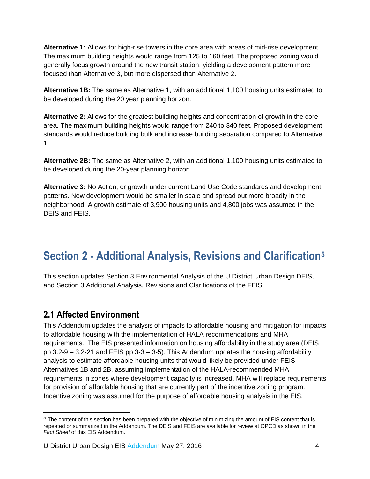**Alternative 1:** Allows for high-rise towers in the core area with areas of mid-rise development. The maximum building heights would range from 125 to 160 feet. The proposed zoning would generally focus growth around the new transit station, yielding a development pattern more focused than Alternative 3, but more dispersed than Alternative 2.

**Alternative 1B:** The same as Alternative 1, with an additional 1,100 housing units estimated to be developed during the 20 year planning horizon.

**Alternative 2:** Allows for the greatest building heights and concentration of growth in the core area. The maximum building heights would range from 240 to 340 feet. Proposed development standards would reduce building bulk and increase building separation compared to Alternative 1.

**Alternative 2B:** The same as Alternative 2, with an additional 1,100 housing units estimated to be developed during the 20-year planning horizon.

**Alternative 3:** No Action, or growth under current Land Use Code standards and development patterns. New development would be smaller in scale and spread out more broadly in the neighborhood. A growth estimate of 3,900 housing units and 4,800 jobs was assumed in the DEIS and FEIS.

# <span id="page-8-0"></span>**Section 2 - Additional Analysis, Revisions and Clarification<sup>5</sup>**

This section updates Section 3 Environmental Analysis of the U District Urban Design DEIS, and Section 3 Additional Analysis, Revisions and Clarifications of the FEIS.

## <span id="page-8-1"></span>**2.1 Affected Environment**

This Addendum updates the analysis of impacts to affordable housing and mitigation for impacts to affordable housing with the implementation of HALA recommendations and MHA requirements. The EIS presented information on housing affordability in the study area (DEIS pp 3.2-9 – 3.2-21 and FEIS pp 3-3 – 3-5). This Addendum updates the housing affordability analysis to estimate affordable housing units that would likely be provided under FEIS Alternatives 1B and 2B, assuming implementation of the HALA-recommended MHA requirements in zones where development capacity is increased. MHA will replace requirements for provision of affordable housing that are currently part of the incentive zoning program. Incentive zoning was assumed for the purpose of affordable housing analysis in the EIS.

<sup>&</sup>lt;sup>5</sup> The content of this section has been prepared with the objective of minimizing the amount of EIS content that is repeated or summarized in the Addendum. The DEIS and FEIS are available for review at OPCD as shown in the *Fact Sheet* of this EIS Addendum.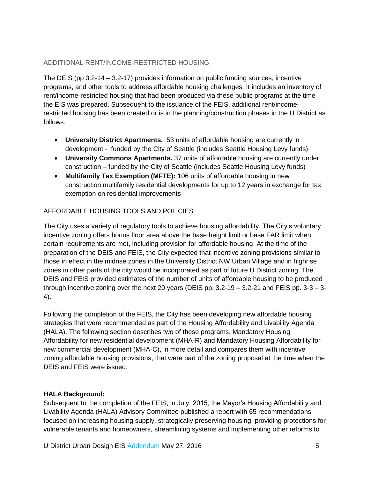### ADDITIONAL RENT/INCOME-RESTRICTED HOUSING

The DEIS (pp 3.2-14 – 3.2-17) provides information on public funding sources, incentive programs, and other tools to address affordable housing challenges. It includes an inventory of rent/income-restricted housing that had been produced via these public programs at the time the EIS was prepared. Subsequent to the issuance of the FEIS, additional rent/incomerestricted housing has been created or is in the planning/construction phases in the U District as follows:

- **University District Apartments.** 53 units of affordable housing are currently in development - funded by the City of Seattle (includes Seattle Housing Levy funds)
- **University Commons Apartments.** 37 units of affordable housing are currently under construction – funded by the City of Seattle (includes Seattle Housing Levy funds)
- **Multifamily Tax Exemption (MFTE):** 106 units of affordable housing in new construction multifamily residential developments for up to 12 years in exchange for tax exemption on residential improvements

### AFFORDABLE HOUSING TOOLS AND POLICIES

The City uses a variety of regulatory tools to achieve housing affordability. The City's voluntary incentive zoning offers bonus floor area above the base height limit or base FAR limit when certain requirements are met, including provision for affordable housing. At the time of the preparation of the DEIS and FEIS, the City expected that incentive zoning provisions similar to those in effect in the midrise zones in the University District NW Urban Village and in highrise zones in other parts of the city would be incorporated as part of future U District zoning. The DEIS and FEIS provided estimates of the number of units of affordable housing to be produced through incentive zoning over the next 20 years (DEIS pp. 3.2-19 – 3.2-21 and FEIS pp. 3-3 – 3- 4).

Following the completion of the FEIS, the City has been developing new affordable housing strategies that were recommended as part of the Housing Affordability and Livability Agenda (HALA). The following section describes two of these programs, Mandatory Housing Affordability for new residential development (MHA-R) and Mandatory Housing Affordability for new commercial development (MHA-C), in more detail and compares them with incentive zoning affordable housing provisions, that were part of the zoning proposal at the time when the DEIS and FEIS were issued.

### **HALA Background:**

Subsequent to the completion of the FEIS, in July, 2015, the Mayor's Housing Affordability and Livability Agenda (HALA) Advisory Committee published a report with 65 recommendations focused on increasing housing supply, strategically preserving housing, providing protections for vulnerable tenants and homeowners, streamlining systems and implementing other reforms to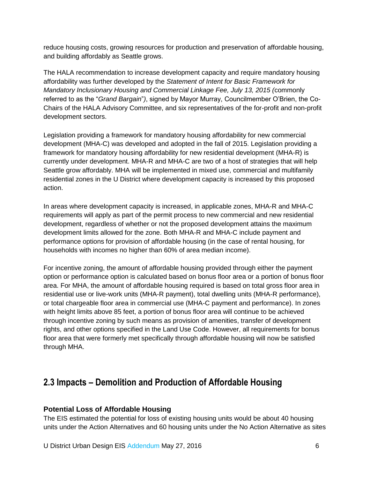reduce housing costs, growing resources for production and preservation of affordable housing, and building affordably as Seattle grows.

The HALA recommendation to increase development capacity and require mandatory housing affordability was further developed by the *Statement of Intent for Basic Framework for Mandatory Inclusionary Housing and Commercial Linkage Fee, July 13, 2015 (*commonly referred to as the "*Grand Bargain*"*)*, signed by Mayor Murray, Councilmember O'Brien, the Co-Chairs of the HALA Advisory Committee, and six representatives of the for-profit and non-profit development sectors.

Legislation providing a framework for mandatory housing affordability for new commercial development (MHA-C) was developed and adopted in the fall of 2015. Legislation providing a framework for mandatory housing affordability for new residential development (MHA-R) is currently under development. MHA-R and MHA-C are two of a host of strategies that will help Seattle grow affordably. MHA will be implemented in mixed use, commercial and multifamily residential zones in the U District where development capacity is increased by this proposed action.

In areas where development capacity is increased, in applicable zones, MHA-R and MHA-C requirements will apply as part of the permit process to new commercial and new residential development, regardless of whether or not the proposed development attains the maximum development limits allowed for the zone. Both MHA-R and MHA-C include payment and performance options for provision of affordable housing (in the case of rental housing, for households with incomes no higher than 60% of area median income).

For incentive zoning, the amount of affordable housing provided through either the payment option or performance option is calculated based on bonus floor area or a portion of bonus floor area. For MHA, the amount of affordable housing required is based on total gross floor area in residential use or live-work units (MHA-R payment), total dwelling units (MHA-R performance), or total chargeable floor area in commercial use (MHA-C payment and performance). In zones with height limits above 85 feet, a portion of bonus floor area will continue to be achieved through incentive zoning by such means as provision of amenities, transfer of development rights, and other options specified in the Land Use Code. However, all requirements for bonus floor area that were formerly met specifically through affordable housing will now be satisfied through MHA.

# <span id="page-10-0"></span>**2.3 Impacts – Demolition and Production of Affordable Housing**

### **Potential Loss of Affordable Housing**

The EIS estimated the potential for loss of existing housing units would be about 40 housing units under the Action Alternatives and 60 housing units under the No Action Alternative as sites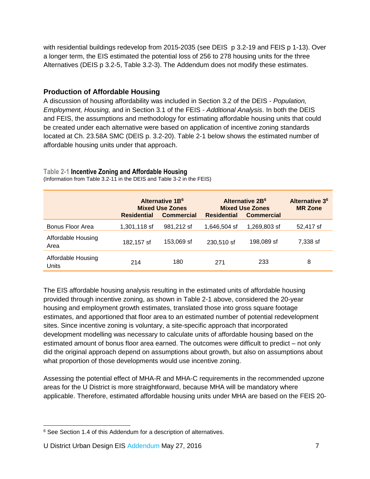with residential buildings redevelop from 2015-2035 (see DEIS p 3.2-19 and FEIS p 1-13). Over a longer term, the EIS estimated the potential loss of 256 to 278 housing units for the three Alternatives (DEIS p 3.2-5, Table 3.2-3). The Addendum does not modify these estimates.

### **Production of Affordable Housing**

A discussion of housing affordability was included in Section 3.2 of the DEIS - *Population, Employment, Housing,* and in Section 3.1 of the FEIS - *Additional Analysis*. In both the DEIS and FEIS, the assumptions and methodology for estimating affordable housing units that could be created under each alternative were based on application of incentive zoning standards located at Ch. 23.58A SMC (DEIS p. 3.2-20). Table 2-1 below shows the estimated number of affordable housing units under that approach.

#### **Table 2-1 Incentive Zoning and Affordable Housing**

|                             | Alternative 1B <sup>6</sup><br><b>Mixed Use Zones</b><br><b>Residential</b><br><b>Commercial</b> |            | Alternative 2B <sup>6</sup><br><b>Mixed Use Zones</b><br><b>Residential</b><br><b>Commercial</b> |              | Alternative 3 <sup>6</sup><br><b>MR Zone</b> |
|-----------------------------|--------------------------------------------------------------------------------------------------|------------|--------------------------------------------------------------------------------------------------|--------------|----------------------------------------------|
| Bonus Floor Area            | 1,301,118 sf                                                                                     | 981.212 sf | 1,646,504 sf                                                                                     | 1,269,803 sf | 52,417 sf                                    |
| Affordable Housing<br>Area  | 182,157 sf                                                                                       | 153,069 sf | 230,510 sf                                                                                       | 198,089 sf   | 7.338 sf                                     |
| Affordable Housing<br>Units | 214                                                                                              | 180        | 271                                                                                              | 233          | 8                                            |

(Information from Table 3.2-11 in the DEIS and Table 3-2 in the FEIS)

The EIS affordable housing analysis resulting in the estimated units of affordable housing provided through incentive zoning, as shown in Table 2-1 above, considered the 20-year housing and employment growth estimates, translated those into gross square footage estimates, and apportioned that floor area to an estimated number of potential redevelopment sites. Since incentive zoning is voluntary, a site-specific approach that incorporated development modelling was necessary to calculate units of affordable housing based on the estimated amount of bonus floor area earned. The outcomes were difficult to predict – not only did the original approach depend on assumptions about growth, but also on assumptions about what proportion of those developments would use incentive zoning.

Assessing the potential effect of MHA-R and MHA-C requirements in the recommended upzone areas for the U District is more straightforward, because MHA will be mandatory where applicable. Therefore, estimated affordable housing units under MHA are based on the FEIS 20-

 <sup>6</sup> See Section 1.4 of this Addendum for a description of alternatives.

U District Urban Design EIS Addendum May 27, 2016 **7** 7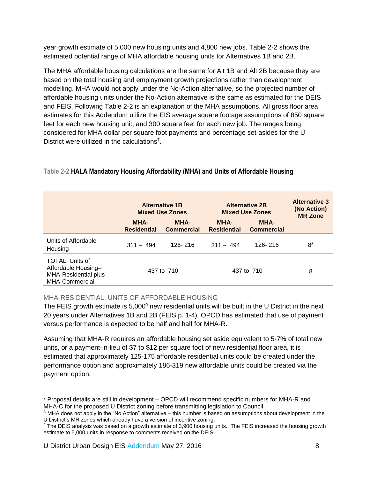year growth estimate of 5,000 new housing units and 4,800 new jobs. Table 2-2 shows the estimated potential range of MHA affordable housing units for Alternatives 1B and 2B.

The MHA affordable housing calculations are the same for Alt 1B and Alt 2B because they are based on the total housing and employment growth projections rather than development modelling. MHA would not apply under the No-Action alternative, so the projected number of affordable housing units under the No-Action alternative is the same as estimated for the DEIS and FEIS. Following Table 2-2 is an explanation of the MHA assumptions. All gross floor area estimates for this Addendum utilize the EIS average square footage assumptions of 850 square feet for each new housing unit, and 300 square feet for each new job. The ranges being considered for MHA dollar per square foot payments and percentage set-asides for the U District were utilized in the calculations<sup>7</sup>.

### **Table 2-2 HALA Mandatory Housing Affordability (MHA) and Units of Affordable Housing**

|                                                                                               | <b>Alternative 1B</b><br><b>Mixed Use Zones</b> |                           | <b>Alternative 2B</b><br><b>Mixed Use Zones</b> |                                  | <b>Alternative 3</b><br>(No Action)<br><b>MR Zone</b> |
|-----------------------------------------------------------------------------------------------|-------------------------------------------------|---------------------------|-------------------------------------------------|----------------------------------|-------------------------------------------------------|
|                                                                                               | <b>MHA-</b><br><b>Residential</b>               | MHA-<br><b>Commercial</b> | <b>MHA-</b><br><b>Residential</b>               | <b>MHA-</b><br><b>Commercial</b> |                                                       |
| Units of Affordable<br>Housing                                                                | $311 - 494$                                     | 126-216                   | $.311 - .494$                                   | 126-216                          | 8 <sup>8</sup>                                        |
| <b>TOTAL Units of</b><br>Affordable Housing-<br><b>MHA-Residential plus</b><br>MHA-Commercial | 437 to 710                                      |                           | 437 to 710                                      |                                  | 8                                                     |

### MHA-RESIDENTIAL: UNITS OF AFFORDABLE HOUSING

The FEIS growth estimate is 5,000<sup>9</sup> new residential units will be built in the U District in the next 20 years under Alternatives 1B and 2B (FEIS p. 1-4). OPCD has estimated that use of payment versus performance is expected to be half and half for MHA-R.

Assuming that MHA-R requires an affordable housing set aside equivalent to 5-7% of total new units, or a payment-in-lieu of \$7 to \$12 per square foot of new residential floor area, it is estimated that approximately 125-175 affordable residential units could be created under the performance option and approximately 186-319 new affordable units could be created via the payment option.

 $\overline{a}$ <sup>7</sup> Proposal details are still in development – OPCD will recommend specific numbers for MHA-R and MHA-C for the proposed U District zoning before transmitting legislation to Council.

<sup>&</sup>lt;sup>8</sup> MHA does not apply in the "No Action" alternative – this number is based on assumptions about development in the U District's MR zones which already have a version of incentive zoning.

<sup>9</sup> The DEIS analysis was based on a growth estimate of 3,900 housing units. The FEIS increased the housing growth estimate to 5,000 units in response to comments received on the DEIS.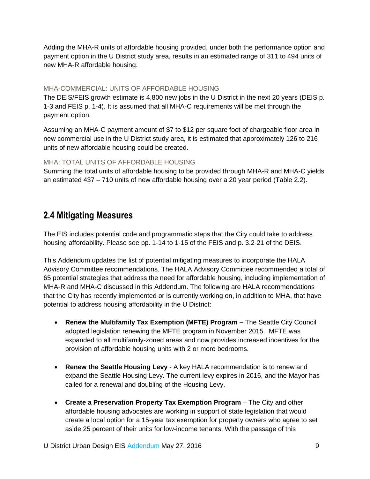Adding the MHA-R units of affordable housing provided, under both the performance option and payment option in the U District study area, results in an estimated range of 311 to 494 units of new MHA-R affordable housing.

#### MHA-COMMERCIAL: UNITS OF AFFORDABLE HOUSING

The DEIS/FEIS growth estimate is 4,800 new jobs in the U District in the next 20 years (DEIS p. 1-3 and FEIS p. 1-4). It is assumed that all MHA-C requirements will be met through the payment option.

Assuming an MHA-C payment amount of \$7 to \$12 per square foot of chargeable floor area in new commercial use in the U District study area, it is estimated that approximately 126 to 216 units of new affordable housing could be created.

#### MHA: TOTAL UNITS OF AFFORDABLE HOUSING

Summing the total units of affordable housing to be provided through MHA-R and MHA-C yields an estimated 437 – 710 units of new affordable housing over a 20 year period (Table 2.2).

## <span id="page-13-0"></span>**2.4 Mitigating Measures**

The EIS includes potential code and programmatic steps that the City could take to address housing affordability. Please see pp. 1-14 to 1-15 of the FEIS and p. 3.2-21 of the DEIS.

This Addendum updates the list of potential mitigating measures to incorporate the HALA Advisory Committee recommendations. The HALA Advisory Committee recommended a total of 65 potential strategies that address the need for affordable housing, including implementation of MHA-R and MHA-C discussed in this Addendum. The following are HALA recommendations that the City has recently implemented or is currently working on, in addition to MHA, that have potential to address housing affordability in the U District:

- **Renew the Multifamily Tax Exemption (MFTE) Program –** The Seattle City Council adopted legislation renewing the MFTE program in November 2015. MFTE was expanded to all multifamily-zoned areas and now provides increased incentives for the provision of affordable housing units with 2 or more bedrooms.
- **Renew the Seattle Housing Levy** A key HALA recommendation is to renew and expand the Seattle Housing Levy. The current levy expires in 2016, and the Mayor has called for a renewal and doubling of the Housing Levy.
- **Create a Preservation Property Tax Exemption Program** The City and other affordable housing advocates are working in support of state legislation that would create a local option for a 15-year tax exemption for property owners who agree to set aside 25 percent of their units for low-income tenants. With the passage of this